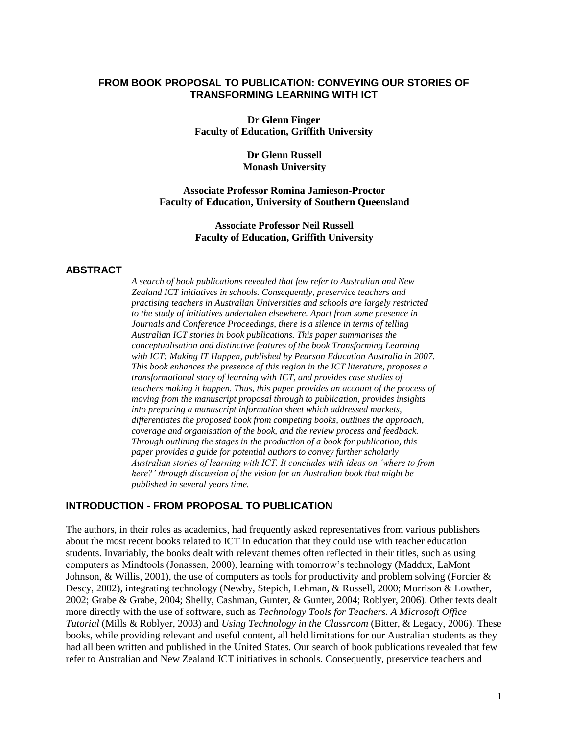#### **FROM BOOK PROPOSAL TO PUBLICATION: CONVEYING OUR STORIES OF TRANSFORMING LEARNING WITH ICT**

**Dr Glenn Finger Faculty of Education, Griffith University** 

> **Dr Glenn Russell Monash University**

**Associate Professor Romina Jamieson-Proctor Faculty of Education, University of Southern Queensland**

> **Associate Professor Neil Russell Faculty of Education, Griffith University**

#### **ABSTRACT**

*A search of book publications revealed that few refer to Australian and New Zealand ICT initiatives in schools. Consequently, preservice teachers and practising teachers in Australian Universities and schools are largely restricted to the study of initiatives undertaken elsewhere. Apart from some presence in Journals and Conference Proceedings, there is a silence in terms of telling Australian ICT stories in book publications. This paper summarises the conceptualisation and distinctive features of the book Transforming Learning with ICT: Making IT Happen, published by Pearson Education Australia in 2007. This book enhances the presence of this region in the ICT literature, proposes a transformational story of learning with ICT, and provides case studies of teachers making it happen. Thus, this paper provides an account of the process of moving from the manuscript proposal through to publication, provides insights into preparing a manuscript information sheet which addressed markets, differentiates the proposed book from competing books, outlines the approach, coverage and organisation of the book, and the review process and feedback. Through outlining the stages in the production of a book for publication, this paper provides a guide for potential authors to convey further scholarly Australian stories of learning with ICT. It concludes with ideas on 'where to from here?' through discussion of the vision for an Australian book that might be published in several years time.*

#### **INTRODUCTION - FROM PROPOSAL TO PUBLICATION**

The authors, in their roles as academics, had frequently asked representatives from various publishers about the most recent books related to ICT in education that they could use with teacher education students. Invariably, the books dealt with relevant themes often reflected in their titles, such as using computers as Mindtools (Jonassen, 2000), learning with tomorrow"s technology (Maddux, LaMont Johnson, & Willis, 2001), the use of computers as tools for productivity and problem solving (Forcier  $\&$ Descy, 2002), integrating technology (Newby, Stepich, Lehman, & Russell, 2000; Morrison & Lowther, 2002; Grabe & Grabe, 2004; Shelly, Cashman, Gunter, & Gunter, 2004; Roblyer, 2006). Other texts dealt more directly with the use of software, such as *Technology Tools for Teachers. A Microsoft Office Tutorial* (Mills & Roblyer, 2003) and *Using Technology in the Classroom* (Bitter, & Legacy, 2006). These books, while providing relevant and useful content, all held limitations for our Australian students as they had all been written and published in the United States. Our search of book publications revealed that few refer to Australian and New Zealand ICT initiatives in schools. Consequently, preservice teachers and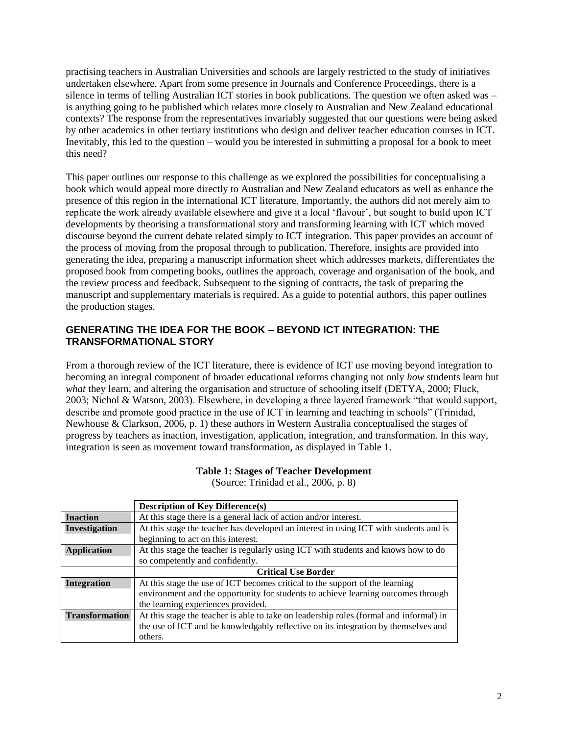practising teachers in Australian Universities and schools are largely restricted to the study of initiatives undertaken elsewhere. Apart from some presence in Journals and Conference Proceedings, there is a silence in terms of telling Australian ICT stories in book publications. The question we often asked was – is anything going to be published which relates more closely to Australian and New Zealand educational contexts? The response from the representatives invariably suggested that our questions were being asked by other academics in other tertiary institutions who design and deliver teacher education courses in ICT. Inevitably, this led to the question – would you be interested in submitting a proposal for a book to meet this need?

This paper outlines our response to this challenge as we explored the possibilities for conceptualising a book which would appeal more directly to Australian and New Zealand educators as well as enhance the presence of this region in the international ICT literature. Importantly, the authors did not merely aim to replicate the work already available elsewhere and give it a local "flavour", but sought to build upon ICT developments by theorising a transformational story and transforming learning with ICT which moved discourse beyond the current debate related simply to ICT integration. This paper provides an account of the process of moving from the proposal through to publication. Therefore, insights are provided into generating the idea, preparing a manuscript information sheet which addresses markets, differentiates the proposed book from competing books, outlines the approach, coverage and organisation of the book, and the review process and feedback. Subsequent to the signing of contracts, the task of preparing the manuscript and supplementary materials is required. As a guide to potential authors, this paper outlines the production stages.

### **GENERATING THE IDEA FOR THE BOOK – BEYOND ICT INTEGRATION: THE TRANSFORMATIONAL STORY**

From a thorough review of the ICT literature, there is evidence of ICT use moving beyond integration to becoming an integral component of broader educational reforms changing not only *how* students learn but *what* they learn, and altering the organisation and structure of schooling itself (DETYA, 2000; Fluck, 2003; Nichol & Watson, 2003). Elsewhere, in developing a three layered framework "that would support, describe and promote good practice in the use of ICT in learning and teaching in schools" (Trinidad, Newhouse & Clarkson, 2006, p. 1) these authors in Western Australia conceptualised the stages of progress by teachers as inaction, investigation, application, integration, and transformation. In this way, integration is seen as movement toward transformation, as displayed in Table 1.

|                       | <b>Description of Key Difference(s)</b>                                                |
|-----------------------|----------------------------------------------------------------------------------------|
| <b>Inaction</b>       | At this stage there is a general lack of action and/or interest.                       |
| Investigation         | At this stage the teacher has developed an interest in using ICT with students and is  |
|                       | beginning to act on this interest.                                                     |
| <b>Application</b>    | At this stage the teacher is regularly using ICT with students and knows how to do     |
|                       | so competently and confidently.                                                        |
|                       | <b>Critical Use Border</b>                                                             |
| <b>Integration</b>    | At this stage the use of ICT becomes critical to the support of the learning           |
|                       | environment and the opportunity for students to achieve learning outcomes through      |
|                       | the learning experiences provided.                                                     |
| <b>Transformation</b> | At this stage the teacher is able to take on leadership roles (formal and informal) in |
|                       | the use of ICT and be knowledgably reflective on its integration by themselves and     |
|                       | others.                                                                                |

**Table 1: Stages of Teacher Development**

(Source: Trinidad et al., 2006, p. 8)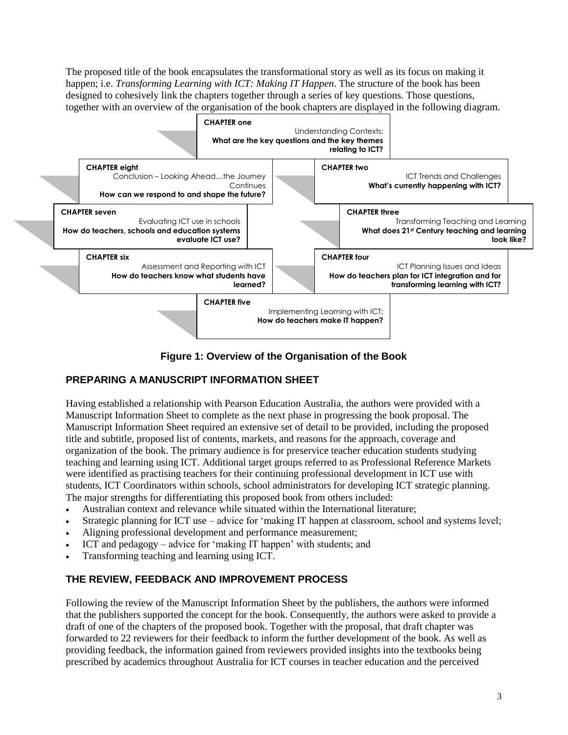The proposed title of the book encapsulates the transformational story as well as its focus on making it happen; i.e. *Transforming Learning with ICT: Making IT Happen*. The structure of the book has been designed to cohesively link the chapters together through a series of key questions. Those questions, together with an overview of the organisation of the book chapters are displayed in the following diagram.



**Figure 1: Overview of the Organisation of the Book**

# **PREPARING A MANUSCRIPT INFORMATION SHEET**

Having established a relationship with Pearson Education Australia, the authors were provided with a Manuscript Information Sheet to complete as the next phase in progressing the book proposal. The Manuscript Information Sheet required an extensive set of detail to be provided, including the proposed title and subtitle, proposed list of contents, markets, and reasons for the approach, coverage and organization of the book. The primary audience is for preservice teacher education students studying teaching and learning using ICT. Additional target groups referred to as Professional Reference Markets were identified as practising teachers for their continuing professional development in ICT use with students, ICT Coordinators within schools, school administrators for developing ICT strategic planning. The major strengths for differentiating this proposed book from others included:

- Australian context and relevance while situated within the International literature;
- Strategic planning for ICT use advice for "making IT happen at classroom, school and systems level;
- Aligning professional development and performance measurement;
- ICT and pedagogy advice for 'making IT happen' with students; and
- Transforming teaching and learning using ICT.

# **THE REVIEW, FEEDBACK AND IMPROVEMENT PROCESS**

Following the review of the Manuscript Information Sheet by the publishers, the authors were informed that the publishers supported the concept for the book. Consequently, the authors were asked to provide a draft of one of the chapters of the proposed book. Together with the proposal, that draft chapter was forwarded to 22 reviewers for their feedback to inform the further development of the book. As well as providing feedback, the information gained from reviewers provided insights into the textbooks being prescribed by academics throughout Australia for ICT courses in teacher education and the perceived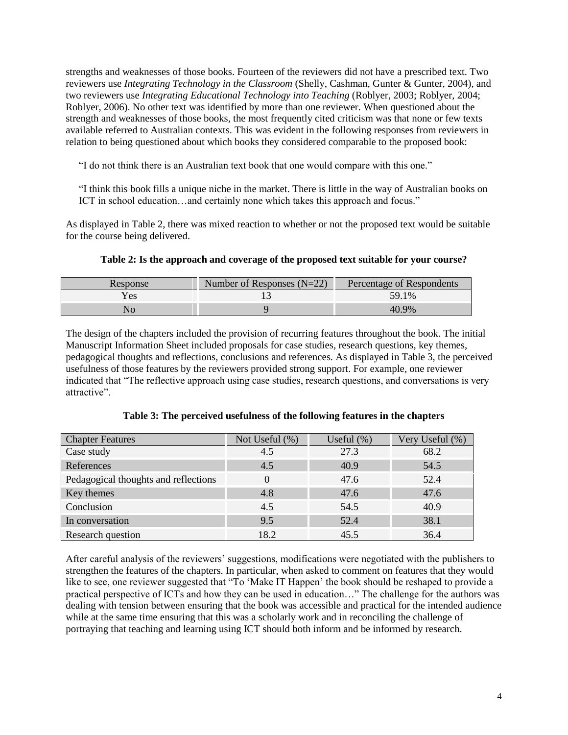strengths and weaknesses of those books. Fourteen of the reviewers did not have a prescribed text. Two reviewers use *Integrating Technology in the Classroom* (Shelly, Cashman, Gunter & Gunter, 2004), and two reviewers use *Integrating Educational Technology into Teaching* (Roblyer, 2003; Roblyer, 2004; Roblyer, 2006). No other text was identified by more than one reviewer. When questioned about the strength and weaknesses of those books, the most frequently cited criticism was that none or few texts available referred to Australian contexts. This was evident in the following responses from reviewers in relation to being questioned about which books they considered comparable to the proposed book:

"I do not think there is an Australian text book that one would compare with this one."

"I think this book fills a unique niche in the market. There is little in the way of Australian books on ICT in school education…and certainly none which takes this approach and focus."

As displayed in Table 2, there was mixed reaction to whether or not the proposed text would be suitable for the course being delivered.

| Response | Number of Responses $(N=22)$ | Percentage of Respondents |
|----------|------------------------------|---------------------------|
| Yes      |                              | 59.1%                     |
|          |                              | 40.9%                     |

### **Table 2: Is the approach and coverage of the proposed text suitable for your course?**

The design of the chapters included the provision of recurring features throughout the book. The initial Manuscript Information Sheet included proposals for case studies, research questions, key themes, pedagogical thoughts and reflections, conclusions and references. As displayed in Table 3, the perceived usefulness of those features by the reviewers provided strong support. For example, one reviewer indicated that "The reflective approach using case studies, research questions, and conversations is very attractive".

| <b>Chapter Features</b>              | Not Useful $(\%)$ | Useful $(\%)$ | Very Useful (%) |
|--------------------------------------|-------------------|---------------|-----------------|
| Case study                           | 4.5               | 27.3          | 68.2            |
| References                           | 4.5               | 40.9          | 54.5            |
| Pedagogical thoughts and reflections |                   | 47.6          | 52.4            |
| Key themes                           | 4.8               | 47.6          | 47.6            |
| Conclusion                           | 4.5               | 54.5          | 40.9            |
| In conversation                      | 9.5               | 52.4          | 38.1            |
| Research question                    | 18.2              | 45.5          | 36.4            |

**Table 3: The perceived usefulness of the following features in the chapters**

After careful analysis of the reviewers" suggestions, modifications were negotiated with the publishers to strengthen the features of the chapters. In particular, when asked to comment on features that they would like to see, one reviewer suggested that "To 'Make IT Happen' the book should be reshaped to provide a practical perspective of ICTs and how they can be used in education..." The challenge for the authors was dealing with tension between ensuring that the book was accessible and practical for the intended audience while at the same time ensuring that this was a scholarly work and in reconciling the challenge of portraying that teaching and learning using ICT should both inform and be informed by research.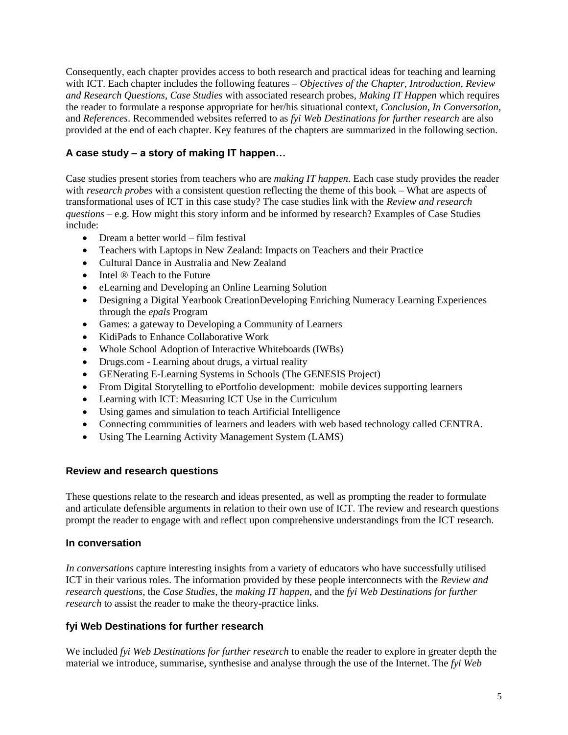Consequently, each chapter provides access to both research and practical ideas for teaching and learning with ICT. Each chapter includes the following features – *Objectives of the Chapter*, *Introduction*, *Review and Research Questions*, *Case Studies* with associated research probes, *Making IT Happen* which requires the reader to formulate a response appropriate for her/his situational context, *Conclusion*, *In Conversation*, and *References*. Recommended websites referred to as *fyi Web Destinations for further research* are also provided at the end of each chapter. Key features of the chapters are summarized in the following section.

# **A case study – a story of making IT happen…**

Case studies present stories from teachers who are *making IT happen*. Each case study provides the reader with *research probes* with a consistent question reflecting the theme of this book – What are aspects of transformational uses of ICT in this case study? The case studies link with the *Review and research questions* – e.g. How might this story inform and be informed by research? Examples of Case Studies include:

- Dream a better world film festival
- Teachers with Laptops in New Zealand: Impacts on Teachers and their Practice
- Cultural Dance in Australia and New Zealand
- $\bullet$  Intel  $\circledR$  Teach to the Future
- eLearning and Developing an Online Learning Solution
- Designing a Digital Yearbook CreationDeveloping Enriching Numeracy Learning Experiences through the *epals* Program
- Games: a gateway to Developing a Community of Learners
- KidiPads to Enhance Collaborative Work
- Whole School Adoption of Interactive Whiteboards (IWBs)
- Drugs.com Learning about drugs, a virtual reality
- GENerating E-Learning Systems in Schools (The GENESIS Project)
- From Digital Storytelling to ePortfolio development: mobile devices supporting learners
- Learning with ICT: Measuring ICT Use in the Curriculum
- Using games and simulation to teach Artificial Intelligence
- Connecting communities of learners and leaders with web based technology called CENTRA.
- Using The Learning Activity Management System (LAMS)

# **Review and research questions**

These questions relate to the research and ideas presented, as well as prompting the reader to formulate and articulate defensible arguments in relation to their own use of ICT. The review and research questions prompt the reader to engage with and reflect upon comprehensive understandings from the ICT research.

# **In conversation**

*In conversations* capture interesting insights from a variety of educators who have successfully utilised ICT in their various roles. The information provided by these people interconnects with the *Review and research questions*, the *Case Studies*, the *making IT happen*, and the *fyi Web Destinations for further research* to assist the reader to make the theory-practice links.

# **fyi Web Destinations for further research**

We included *fyi Web Destinations for further research* to enable the reader to explore in greater depth the material we introduce, summarise, synthesise and analyse through the use of the Internet. The *fyi Web*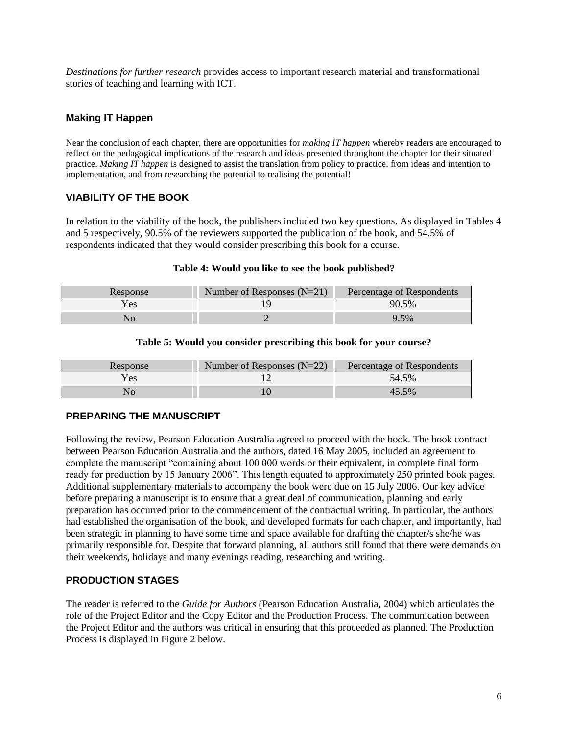*Destinations for further research* provides access to important research material and transformational stories of teaching and learning with ICT.

### **Making IT Happen**

Near the conclusion of each chapter, there are opportunities for *making IT happen* whereby readers are encouraged to reflect on the pedagogical implications of the research and ideas presented throughout the chapter for their situated practice. *Making IT happen* is designed to assist the translation from policy to practice, from ideas and intention to implementation, and from researching the potential to realising the potential!

### **VIABILITY OF THE BOOK**

In relation to the viability of the book, the publishers included two key questions. As displayed in Tables 4 and 5 respectively, 90.5% of the reviewers supported the publication of the book, and 54.5% of respondents indicated that they would consider prescribing this book for a course.

#### **Table 4: Would you like to see the book published?**

| Response | Number of Responses $(N=21)$ | Percentage of Respondents |
|----------|------------------------------|---------------------------|
| /es      |                              | 90.5%                     |
|          |                              | $.5\%$                    |

#### **Table 5: Would you consider prescribing this book for your course?**

| Response | Number of Responses $(N=22)$ | Percentage of Respondents |
|----------|------------------------------|---------------------------|
| Yes      |                              | 54.5%                     |
|          |                              | $.5\%$                    |

# **PREPARING THE MANUSCRIPT**

Following the review, Pearson Education Australia agreed to proceed with the book. The book contract between Pearson Education Australia and the authors, dated 16 May 2005, included an agreement to complete the manuscript "containing about 100 000 words or their equivalent, in complete final form ready for production by 15 January 2006". This length equated to approximately 250 printed book pages. Additional supplementary materials to accompany the book were due on 15 July 2006. Our key advice before preparing a manuscript is to ensure that a great deal of communication, planning and early preparation has occurred prior to the commencement of the contractual writing. In particular, the authors had established the organisation of the book, and developed formats for each chapter, and importantly, had been strategic in planning to have some time and space available for drafting the chapter/s she/he was primarily responsible for. Despite that forward planning, all authors still found that there were demands on their weekends, holidays and many evenings reading, researching and writing.

### **PRODUCTION STAGES**

The reader is referred to the *Guide for Authors* (Pearson Education Australia, 2004) which articulates the role of the Project Editor and the Copy Editor and the Production Process. The communication between the Project Editor and the authors was critical in ensuring that this proceeded as planned. The Production Process is displayed in Figure 2 below.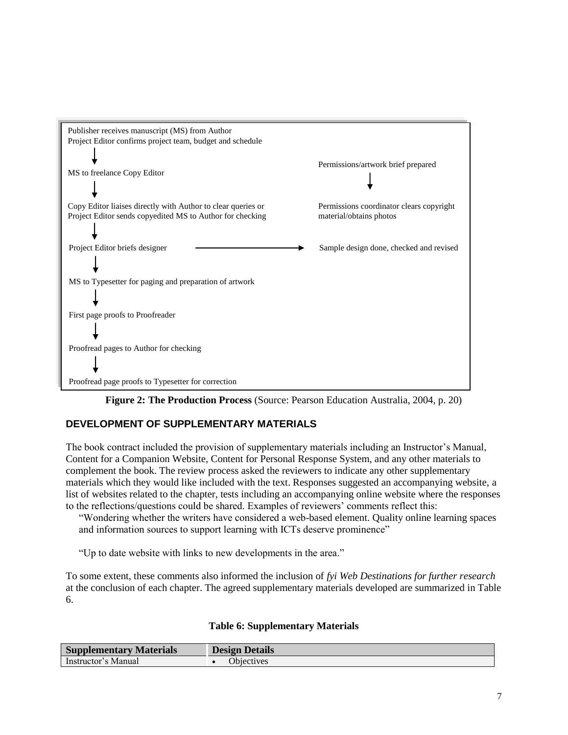

**Figure 2: The Production Process** (Source: Pearson Education Australia, 2004, p. 20)

# **DEVELOPMENT OF SUPPLEMENTARY MATERIALS**

The book contract included the provision of supplementary materials including an Instructor's Manual, Content for a Companion Website, Content for Personal Response System, and any other materials to complement the book. The review process asked the reviewers to indicate any other supplementary materials which they would like included with the text. Responses suggested an accompanying website, a list of websites related to the chapter, tests including an accompanying online website where the responses to the reflections/questions could be shared. Examples of reviewers" comments reflect this:

"Wondering whether the writers have considered a web-based element. Quality online learning spaces and information sources to support learning with ICTs deserve prominence"

"Up to date website with links to new developments in the area."

To some extent, these comments also informed the inclusion of *fyi Web Destinations for further research* at the conclusion of each chapter. The agreed supplementary materials developed are summarized in Table 6.

### **Table 6: Supplementary Materials**

| <b>Supplementary Materials</b> | <b>Design Details</b> |
|--------------------------------|-----------------------|
| Instructor's Manual            | <b>Objectives</b>     |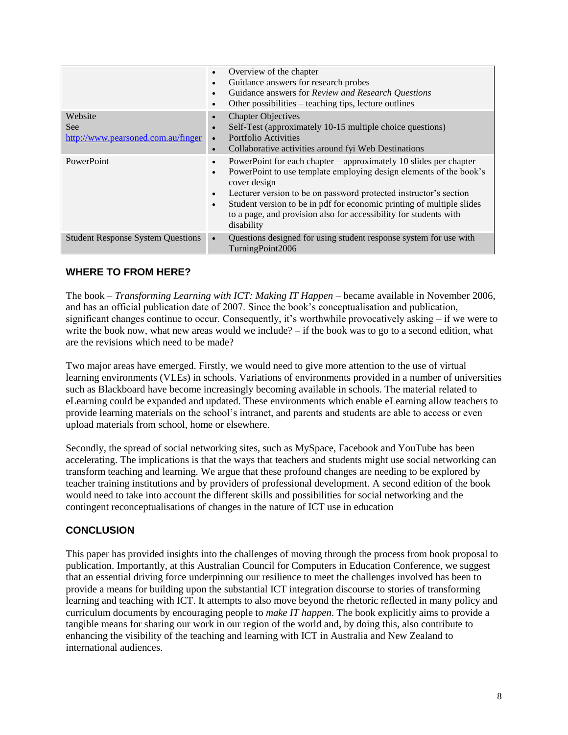|                                                      | Overview of the chapter<br>$\bullet$<br>Guidance answers for research probes<br>$\bullet$<br>Guidance answers for Review and Research Questions<br>$\bullet$<br>Other possibilities – teaching tips, lecture outlines<br>$\bullet$                                                                                                                                                                                                           |
|------------------------------------------------------|----------------------------------------------------------------------------------------------------------------------------------------------------------------------------------------------------------------------------------------------------------------------------------------------------------------------------------------------------------------------------------------------------------------------------------------------|
| Website<br>See<br>http://www.pearsoned.com.au/finger | <b>Chapter Objectives</b><br>$\bullet$<br>Self-Test (approximately 10-15 multiple choice questions)<br>$\bullet$<br>Portfolio Activities<br>$\bullet$<br>Collaborative activities around fyl Web Destinations<br>$\bullet$                                                                                                                                                                                                                   |
| <b>PowerPoint</b>                                    | PowerPoint for each chapter – approximately 10 slides per chapter<br>$\bullet$<br>PowerPoint to use template employing design elements of the book's<br>$\bullet$<br>cover design<br>Lecturer version to be on password protected instructor's section<br>$\bullet$<br>Student version to be in pdf for economic printing of multiple slides<br>$\bullet$<br>to a page, and provision also for accessibility for students with<br>disability |
| <b>Student Response System Questions</b>             | Questions designed for using student response system for use with<br>$\bullet$<br>TurningPoint2006                                                                                                                                                                                                                                                                                                                                           |

### **WHERE TO FROM HERE?**

The book – *Transforming Learning with ICT: Making IT Happen* – became available in November 2006, and has an official publication date of 2007. Since the book"s conceptualisation and publication, significant changes continue to occur. Consequently, it's worthwhile provocatively asking  $-$  if we were to write the book now, what new areas would we include? – if the book was to go to a second edition, what are the revisions which need to be made?

Two major areas have emerged. Firstly, we would need to give more attention to the use of virtual learning environments (VLEs) in schools. Variations of environments provided in a number of universities such as Blackboard have become increasingly becoming available in schools. The material related to eLearning could be expanded and updated. These environments which enable eLearning allow teachers to provide learning materials on the school's intranet, and parents and students are able to access or even upload materials from school, home or elsewhere.

Secondly, the spread of social networking sites, such as MySpace, Facebook and YouTube has been accelerating. The implications is that the ways that teachers and students might use social networking can transform teaching and learning. We argue that these profound changes are needing to be explored by teacher training institutions and by providers of professional development. A second edition of the book would need to take into account the different skills and possibilities for social networking and the contingent reconceptualisations of changes in the nature of ICT use in education

### **CONCLUSION**

This paper has provided insights into the challenges of moving through the process from book proposal to publication. Importantly, at this Australian Council for Computers in Education Conference, we suggest that an essential driving force underpinning our resilience to meet the challenges involved has been to provide a means for building upon the substantial ICT integration discourse to stories of transforming learning and teaching with ICT. It attempts to also move beyond the rhetoric reflected in many policy and curriculum documents by encouraging people to *make IT happen*. The book explicitly aims to provide a tangible means for sharing our work in our region of the world and, by doing this, also contribute to enhancing the visibility of the teaching and learning with ICT in Australia and New Zealand to international audiences.